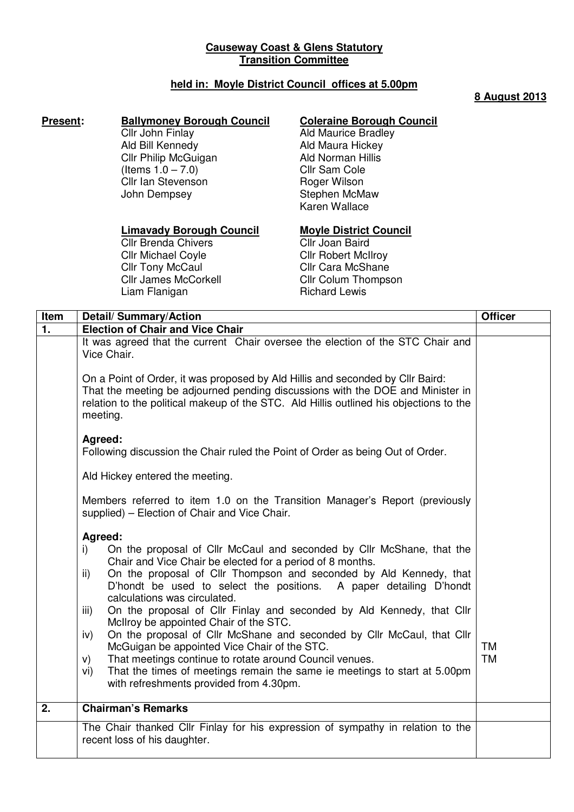## **Causeway Coast & Glens Statutory Transition Committee**

## **held in: Moyle District Council offices at 5.00pm**

### **8 August 2013**

# **Present:** Ballymoney Borough Council

Cllr John Finlay Ald Bill Kennedy Cllr Philip McGuigan  $($ ltems  $1.0 - 7.0)$ Cllr Ian Stevenson John Dempsey

## **Coleraine Borough Council**

Ald Maurice Bradley Ald Maura Hickey Ald Norman Hillis Cllr Sam Cole Roger Wilson Stephen McMaw Karen Wallace

### **Limavady Borough Council**

Cllr Brenda Chivers Cllr Michael Coyle **Cllr Tony McCaul** Cllr James McCorkell Liam Flanigan

#### **Moyle District Council** Cllr Joan Baird **Cllr Robert McIlroy** Cllr Cara McShane Cllr Colum Thompson Richard Lewis

| Item           | <b>Detail/Summary/Action</b>                                                                                                                                                                                                                                                                                                                                                                                                                                                                                                                       | <b>Officer</b>         |
|----------------|----------------------------------------------------------------------------------------------------------------------------------------------------------------------------------------------------------------------------------------------------------------------------------------------------------------------------------------------------------------------------------------------------------------------------------------------------------------------------------------------------------------------------------------------------|------------------------|
| $\mathbf{1}$ . | <b>Election of Chair and Vice Chair</b>                                                                                                                                                                                                                                                                                                                                                                                                                                                                                                            |                        |
|                | It was agreed that the current Chair oversee the election of the STC Chair and<br>Vice Chair.<br>On a Point of Order, it was proposed by Ald Hillis and seconded by Cllr Baird:<br>That the meeting be adjourned pending discussions with the DOE and Minister in<br>relation to the political makeup of the STC. Ald Hillis outlined his objections to the                                                                                                                                                                                        |                        |
|                | meeting.<br>Agreed:<br>Following discussion the Chair ruled the Point of Order as being Out of Order.<br>Ald Hickey entered the meeting.                                                                                                                                                                                                                                                                                                                                                                                                           |                        |
|                | Members referred to item 1.0 on the Transition Manager's Report (previously<br>supplied) - Election of Chair and Vice Chair.                                                                                                                                                                                                                                                                                                                                                                                                                       |                        |
|                | Agreed:<br>On the proposal of Cllr McCaul and seconded by Cllr McShane, that the<br>i)<br>Chair and Vice Chair be elected for a period of 8 months.<br>On the proposal of Cllr Thompson and seconded by Ald Kennedy, that<br>ii)<br>D'hondt be used to select the positions. A paper detailing D'hondt<br>calculations was circulated.<br>On the proposal of Cllr Finlay and seconded by Ald Kennedy, that Cllr<br>iii)<br>McIlroy be appointed Chair of the STC.<br>On the proposal of Cllr McShane and seconded by Cllr McCaul, that Cllr<br>iv) |                        |
|                | McGuigan be appointed Vice Chair of the STC.<br>That meetings continue to rotate around Council venues.<br>V)<br>That the times of meetings remain the same ie meetings to start at 5.00pm<br>vi)<br>with refreshments provided from 4.30pm.                                                                                                                                                                                                                                                                                                       | <b>TM</b><br><b>TM</b> |
| 2.             | <b>Chairman's Remarks</b>                                                                                                                                                                                                                                                                                                                                                                                                                                                                                                                          |                        |
|                | The Chair thanked Cllr Finlay for his expression of sympathy in relation to the<br>recent loss of his daughter.                                                                                                                                                                                                                                                                                                                                                                                                                                    |                        |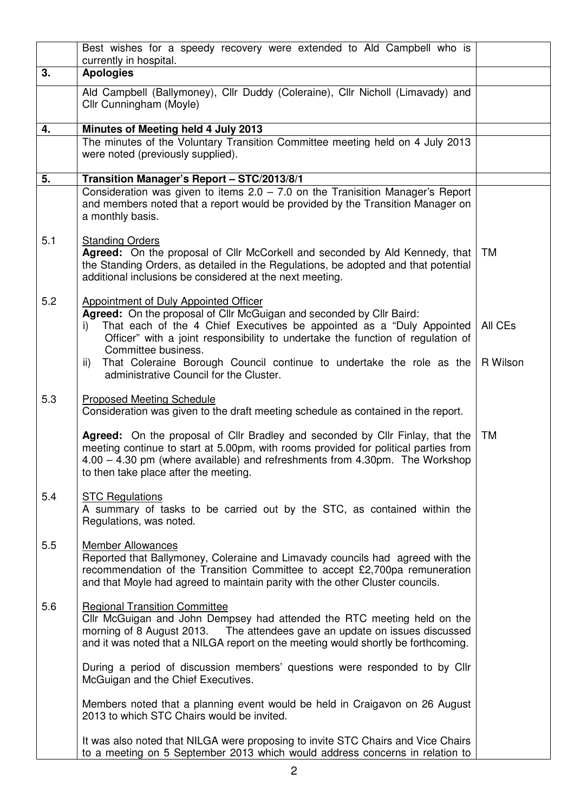|     | Best wishes for a speedy recovery were extended to Ald Campbell who is<br>currently in hospital.                                                                                                                                                                                                                                                                                      |                     |
|-----|---------------------------------------------------------------------------------------------------------------------------------------------------------------------------------------------------------------------------------------------------------------------------------------------------------------------------------------------------------------------------------------|---------------------|
| 3.  | <b>Apologies</b>                                                                                                                                                                                                                                                                                                                                                                      |                     |
|     | Ald Campbell (Ballymoney), Cllr Duddy (Coleraine), Cllr Nicholl (Limavady) and<br>Cllr Cunningham (Moyle)                                                                                                                                                                                                                                                                             |                     |
| 4.  | Minutes of Meeting held 4 July 2013                                                                                                                                                                                                                                                                                                                                                   |                     |
|     | The minutes of the Voluntary Transition Committee meeting held on 4 July 2013<br>were noted (previously supplied).                                                                                                                                                                                                                                                                    |                     |
| 5.  | Transition Manager's Report - STC/2013/8/1                                                                                                                                                                                                                                                                                                                                            |                     |
|     | Consideration was given to items $2.0 - 7.0$ on the Tranisition Manager's Report<br>and members noted that a report would be provided by the Transition Manager on<br>a monthly basis.                                                                                                                                                                                                |                     |
| 5.1 | <b>Standing Orders</b><br>Agreed: On the proposal of Cllr McCorkell and seconded by Ald Kennedy, that<br>the Standing Orders, as detailed in the Regulations, be adopted and that potential<br>additional inclusions be considered at the next meeting.                                                                                                                               | TM                  |
| 5.2 | Appointment of Duly Appointed Officer<br>Agreed: On the proposal of Cllr McGuigan and seconded by Cllr Baird:<br>That each of the 4 Chief Executives be appointed as a "Duly Appointed<br>i)<br>Officer" with a joint responsibility to undertake the function of regulation of<br>Committee business.<br>That Coleraine Borough Council continue to undertake the role as the<br>ii) | All CEs<br>R Wilson |
|     | administrative Council for the Cluster.                                                                                                                                                                                                                                                                                                                                               |                     |
| 5.3 | <b>Proposed Meeting Schedule</b><br>Consideration was given to the draft meeting schedule as contained in the report.                                                                                                                                                                                                                                                                 |                     |
|     | Agreed: On the proposal of Cllr Bradley and seconded by Cllr Finlay, that the<br>meeting continue to start at 5.00pm, with rooms provided for political parties from<br>4.00 - 4.30 pm (where available) and refreshments from 4.30pm. The Workshop<br>to then take place after the meeting.                                                                                          | <b>TM</b>           |
| 5.4 | <b>STC Regulations</b><br>A summary of tasks to be carried out by the STC, as contained within the<br>Regulations, was noted.                                                                                                                                                                                                                                                         |                     |
| 5.5 | <b>Member Allowances</b><br>Reported that Ballymoney, Coleraine and Limavady councils had agreed with the<br>recommendation of the Transition Committee to accept £2,700pa remuneration<br>and that Moyle had agreed to maintain parity with the other Cluster councils.                                                                                                              |                     |
| 5.6 | <b>Regional Transition Committee</b><br>Cllr McGuigan and John Dempsey had attended the RTC meeting held on the<br>morning of 8 August 2013. The attendees gave an update on issues discussed<br>and it was noted that a NILGA report on the meeting would shortly be forthcoming.                                                                                                    |                     |
|     | During a period of discussion members' questions were responded to by Cllr<br>McGuigan and the Chief Executives.                                                                                                                                                                                                                                                                      |                     |
|     | Members noted that a planning event would be held in Craigavon on 26 August<br>2013 to which STC Chairs would be invited.                                                                                                                                                                                                                                                             |                     |
|     | It was also noted that NILGA were proposing to invite STC Chairs and Vice Chairs<br>to a meeting on 5 September 2013 which would address concerns in relation to                                                                                                                                                                                                                      |                     |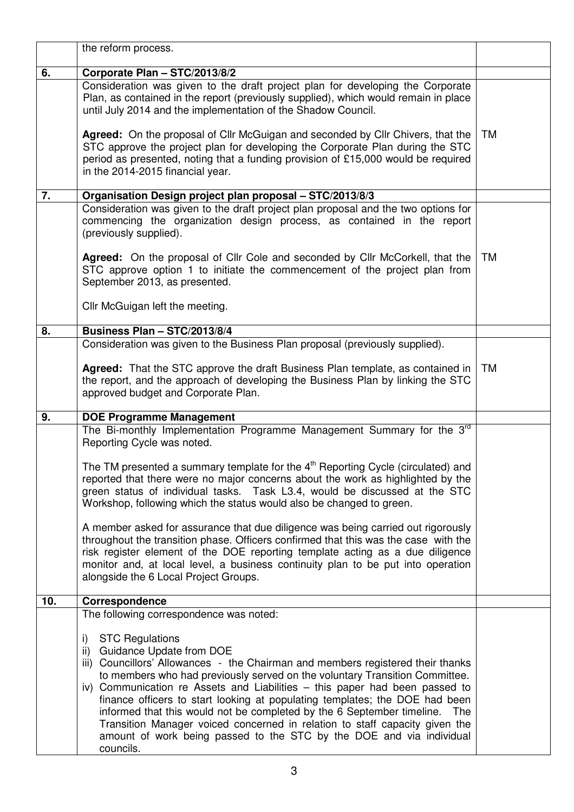|     | the reform process.                                                                                                                                                                                                                                                                                                                                                                                                                                                                                                                                                                                                                                                                                                                                                                                                                                        |           |
|-----|------------------------------------------------------------------------------------------------------------------------------------------------------------------------------------------------------------------------------------------------------------------------------------------------------------------------------------------------------------------------------------------------------------------------------------------------------------------------------------------------------------------------------------------------------------------------------------------------------------------------------------------------------------------------------------------------------------------------------------------------------------------------------------------------------------------------------------------------------------|-----------|
| 6.  | Corporate Plan - STC/2013/8/2                                                                                                                                                                                                                                                                                                                                                                                                                                                                                                                                                                                                                                                                                                                                                                                                                              |           |
|     | Consideration was given to the draft project plan for developing the Corporate<br>Plan, as contained in the report (previously supplied), which would remain in place<br>until July 2014 and the implementation of the Shadow Council.<br>Agreed: On the proposal of Cllr McGuigan and seconded by Cllr Chivers, that the<br>STC approve the project plan for developing the Corporate Plan during the STC<br>period as presented, noting that a funding provision of £15,000 would be required                                                                                                                                                                                                                                                                                                                                                            | <b>TM</b> |
|     | in the 2014-2015 financial year.                                                                                                                                                                                                                                                                                                                                                                                                                                                                                                                                                                                                                                                                                                                                                                                                                           |           |
| 7.  | Organisation Design project plan proposal - STC/2013/8/3                                                                                                                                                                                                                                                                                                                                                                                                                                                                                                                                                                                                                                                                                                                                                                                                   |           |
|     | Consideration was given to the draft project plan proposal and the two options for<br>commencing the organization design process, as contained in the report<br>(previously supplied).<br>Agreed: On the proposal of Cllr Cole and seconded by Cllr McCorkell, that the<br>STC approve option 1 to initiate the commencement of the project plan from<br>September 2013, as presented.                                                                                                                                                                                                                                                                                                                                                                                                                                                                     | TM        |
|     | Cllr McGuigan left the meeting.                                                                                                                                                                                                                                                                                                                                                                                                                                                                                                                                                                                                                                                                                                                                                                                                                            |           |
| 8.  | Business Plan - STC/2013/8/4                                                                                                                                                                                                                                                                                                                                                                                                                                                                                                                                                                                                                                                                                                                                                                                                                               |           |
|     | Consideration was given to the Business Plan proposal (previously supplied).                                                                                                                                                                                                                                                                                                                                                                                                                                                                                                                                                                                                                                                                                                                                                                               |           |
|     | Agreed: That the STC approve the draft Business Plan template, as contained in<br>the report, and the approach of developing the Business Plan by linking the STC<br>approved budget and Corporate Plan.                                                                                                                                                                                                                                                                                                                                                                                                                                                                                                                                                                                                                                                   | <b>TM</b> |
| 9.  | <b>DOE Programme Management</b>                                                                                                                                                                                                                                                                                                                                                                                                                                                                                                                                                                                                                                                                                                                                                                                                                            |           |
| 10. | The Bi-monthly Implementation Programme Management Summary for the 3 <sup>rd</sup><br>Reporting Cycle was noted.<br>The TM presented a summary template for the $4th$ Reporting Cycle (circulated) and<br>reported that there were no major concerns about the work as highlighted by the<br>green status of individual tasks. Task L3.4, would be discussed at the STC<br>Workshop, following which the status would also be changed to green.<br>A member asked for assurance that due diligence was being carried out rigorously<br>throughout the transition phase. Officers confirmed that this was the case with the<br>risk register element of the DOE reporting template acting as a due diligence<br>monitor and, at local level, a business continuity plan to be put into operation<br>alongside the 6 Local Project Groups.<br>Correspondence |           |
|     | The following correspondence was noted:                                                                                                                                                                                                                                                                                                                                                                                                                                                                                                                                                                                                                                                                                                                                                                                                                    |           |
|     | <b>STC Regulations</b><br>i)<br>ii) Guidance Update from DOE<br>iii) Councillors' Allowances - the Chairman and members registered their thanks<br>to members who had previously served on the voluntary Transition Committee.<br>iv) Communication re Assets and Liabilities - this paper had been passed to<br>finance officers to start looking at populating templates; the DOE had been<br>informed that this would not be completed by the 6 September timeline.<br>The<br>Transition Manager voiced concerned in relation to staff capacity given the<br>amount of work being passed to the STC by the DOE and via individual<br>councils.                                                                                                                                                                                                          |           |